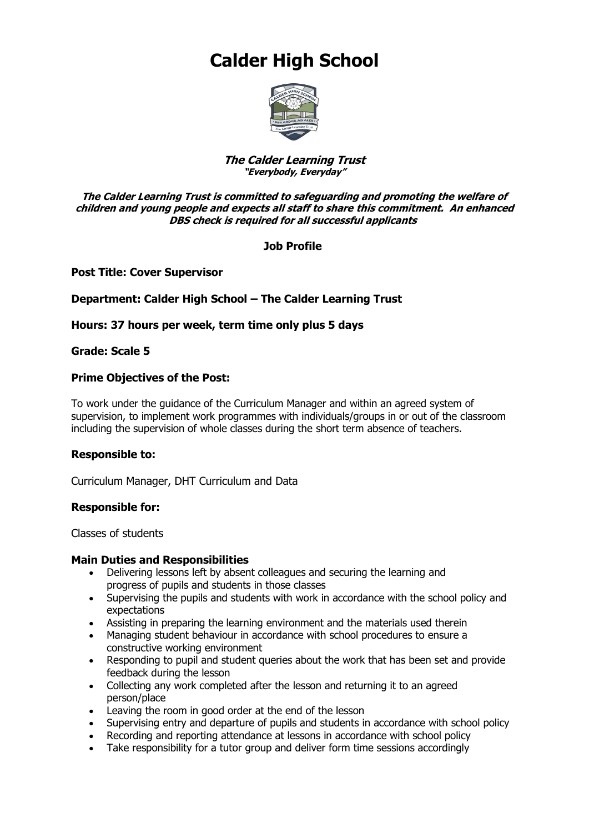# **Calder High School**



#### **The Calder Learning Trust "Everybody, Everyday"**

#### **The Calder Learning Trust is committed to safeguarding and promoting the welfare of children and young people and expects all staff to share this commitment. An enhanced DBS check is required for all successful applicants**

# **Job Profile**

**Post Title: Cover Supervisor**

# **Department: Calder High School – The Calder Learning Trust**

### **Hours: 37 hours per week, term time only plus 5 days**

#### **Grade: Scale 5**

### **Prime Objectives of the Post:**

To work under the guidance of the Curriculum Manager and within an agreed system of supervision, to implement work programmes with individuals/groups in or out of the classroom including the supervision of whole classes during the short term absence of teachers.

#### **Responsible to:**

Curriculum Manager, DHT Curriculum and Data

#### **Responsible for:**

Classes of students

#### **Main Duties and Responsibilities**

- Delivering lessons left by absent colleagues and securing the learning and progress of pupils and students in those classes
- Supervising the pupils and students with work in accordance with the school policy and expectations
- Assisting in preparing the learning environment and the materials used therein
- Managing student behaviour in accordance with school procedures to ensure a constructive working environment
- Responding to pupil and student queries about the work that has been set and provide feedback during the lesson
- Collecting any work completed after the lesson and returning it to an agreed person/place
- Leaving the room in good order at the end of the lesson
- Supervising entry and departure of pupils and students in accordance with school policy
- Recording and reporting attendance at lessons in accordance with school policy
- Take responsibility for a tutor group and deliver form time sessions accordingly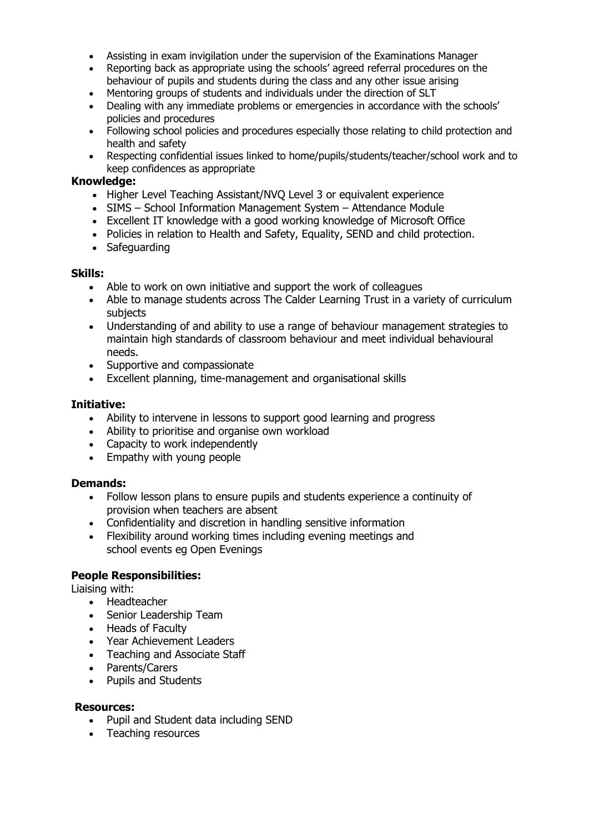- Assisting in exam invigilation under the supervision of the Examinations Manager
- Reporting back as appropriate using the schools' agreed referral procedures on the behaviour of pupils and students during the class and any other issue arising
- Mentoring groups of students and individuals under the direction of SLT
- Dealing with any immediate problems or emergencies in accordance with the schools' policies and procedures
- Following school policies and procedures especially those relating to child protection and health and safety
- Respecting confidential issues linked to home/pupils/students/teacher/school work and to keep confidences as appropriate

#### **Knowledge:**

- Higher Level Teaching Assistant/NVQ Level 3 or equivalent experience
- SIMS School Information Management System Attendance Module
- Excellent IT knowledge with a good working knowledge of Microsoft Office
- Policies in relation to Health and Safety, Equality, SEND and child protection.
- Safeguarding

### **Skills:**

- Able to work on own initiative and support the work of colleagues
- Able to manage students across The Calder Learning Trust in a variety of curriculum subjects
- Understanding of and ability to use a range of behaviour management strategies to maintain high standards of classroom behaviour and meet individual behavioural needs.
- Supportive and compassionate
- Excellent planning, time-management and organisational skills

### **Initiative:**

- Ability to intervene in lessons to support good learning and progress
- Ability to prioritise and organise own workload
- Capacity to work independently
- Empathy with young people

#### **Demands:**

- Follow lesson plans to ensure pupils and students experience a continuity of provision when teachers are absent
- Confidentiality and discretion in handling sensitive information
- Flexibility around working times including evening meetings and school events eg Open Evenings

#### **People Responsibilities:**

Liaising with:

- Headteacher
- Senior Leadership Team
- Heads of Faculty
- Year Achievement Leaders
- Teaching and Associate Staff
- Parents/Carers
- Pupils and Students

#### **Resources:**

- Pupil and Student data including SEND
- Teaching resources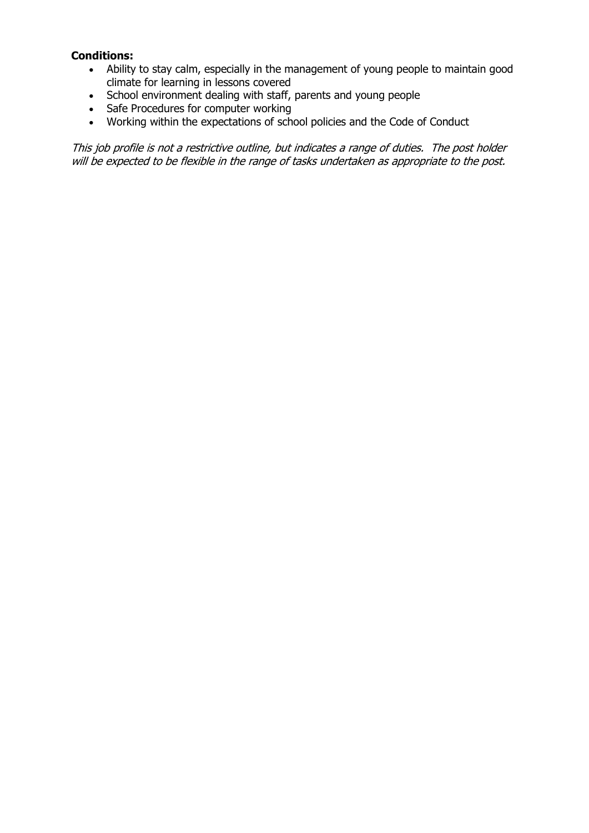### **Conditions:**

- Ability to stay calm, especially in the management of young people to maintain good climate for learning in lessons covered
- School environment dealing with staff, parents and young people
- Safe Procedures for computer working
- Working within the expectations of school policies and the Code of Conduct

This job profile is not a restrictive outline, but indicates a range of duties. The post holder will be expected to be flexible in the range of tasks undertaken as appropriate to the post.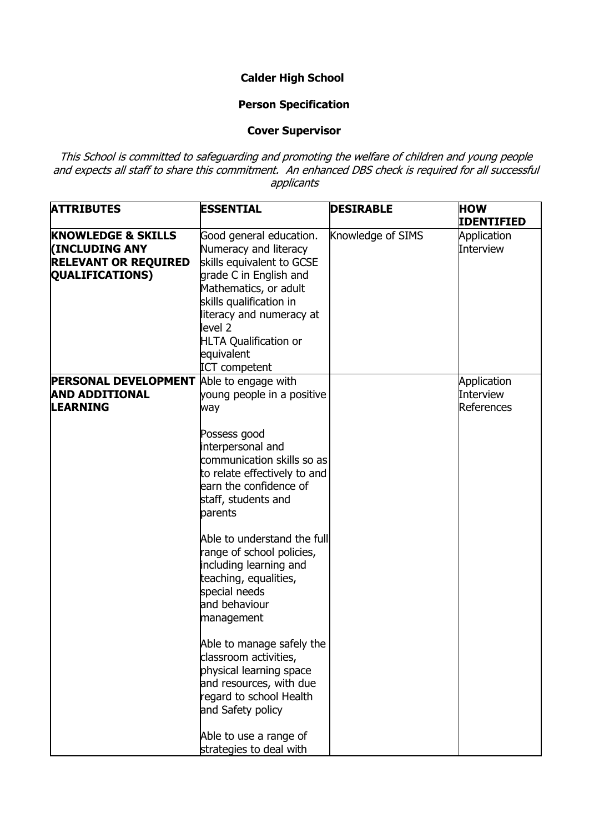# **Calder High School**

# **Person Specification**

#### **Cover Supervisor**

This School is committed to safeguarding and promoting the welfare of children and young people and expects all staff to share this commitment. An enhanced DBS check is required for all successful applicants

| <b>ATTRIBUTES</b>                                                                                               | <b>ESSENTIAL</b>                                                                                                                                                                                                                                                                                                                                                                                                                                                                                                               | <b>DESIRABLE</b>  | <b>HOW</b><br><b>IDENTIFIED</b>               |
|-----------------------------------------------------------------------------------------------------------------|--------------------------------------------------------------------------------------------------------------------------------------------------------------------------------------------------------------------------------------------------------------------------------------------------------------------------------------------------------------------------------------------------------------------------------------------------------------------------------------------------------------------------------|-------------------|-----------------------------------------------|
| <b>KNOWLEDGE &amp; SKILLS</b><br><b>(INCLUDING ANY</b><br><b>RELEVANT OR REQUIRED</b><br><b>QUALIFICATIONS)</b> | Good general education.<br>Numeracy and literacy<br>skills equivalent to GCSE<br>grade C in English and<br>Mathematics, or adult<br>skills qualification in<br>literacy and numeracy at<br>level 2<br><b>HLTA Qualification or</b><br>equivalent<br><b>ICT</b> competent                                                                                                                                                                                                                                                       | Knowledge of SIMS | Application<br><b>Interview</b>               |
| <b>PERSONAL DEVELOPMENT</b><br><b>AND ADDITIONAL</b><br><b>LEARNING</b>                                         | Able to engage with<br>young people in a positive<br>way<br>Possess good<br>interpersonal and<br>communication skills so as<br>to relate effectively to and<br>learn the confidence of<br>staff, students and<br>parents<br>Able to understand the full<br>range of school policies,<br>including learning and<br>teaching, equalities,<br>special needs<br>and behaviour<br>management<br>Able to manage safely the<br>classroom activities,<br>physical learning space<br>and resources, with due<br>regard to school Health |                   | Application<br><b>Interview</b><br>References |
|                                                                                                                 | and Safety policy<br>Able to use a range of<br>strategies to deal with                                                                                                                                                                                                                                                                                                                                                                                                                                                         |                   |                                               |